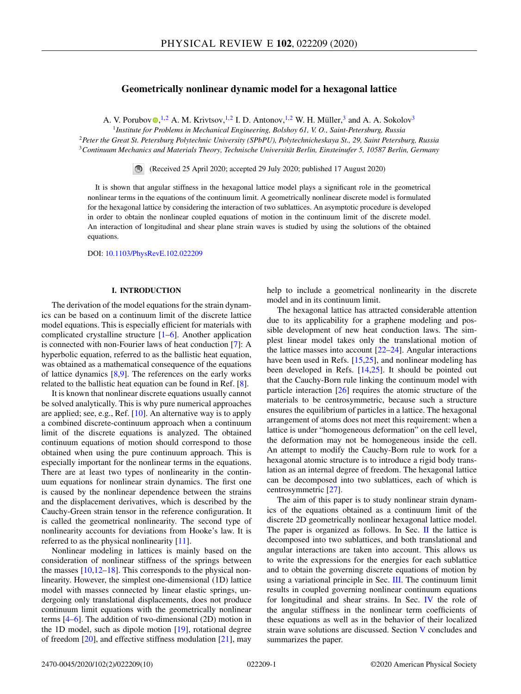# **Geometrically nonlinear dynamic model for a hexagonal lattice**

A. V. Porubo[v](https://orcid.org/0000-0002-9893-7242)  $\mathbb{D}$ , <sup>1,2</sup> A. M. Krivtsov, <sup>1,2</sup> I. D. Antonov, <sup>1,2</sup> W. H. Müller, <sup>3</sup> and A. A. Sokolov<sup>3</sup>

<sup>1</sup>*Institute for Problems in Mechanical Engineering, Bolshoy 61, V. O., Saint-Petersburg, Russia* <sup>2</sup>*Peter the Great St. Petersburg Polytechnic University (SPbPU), Polytechnicheskaya St., 29, Saint Petersburg, Russia* <sup>3</sup>*Continuum Mechanics and Materials Theory, Technische Universität Berlin, Einsteinufer 5, 10587 Berlin, Germany*

(Received 25 April 2020; accepted 29 July 2020; published 17 August 2020)

It is shown that angular stiffness in the hexagonal lattice model plays a significant role in the geometrical nonlinear terms in the equations of the continuum limit. A geometrically nonlinear discrete model is formulated for the hexagonal lattice by considering the interaction of two sublattices. An asymptotic procedure is developed in order to obtain the nonlinear coupled equations of motion in the continuum limit of the discrete model. An interaction of longitudinal and shear plane strain waves is studied by using the solutions of the obtained equations.

DOI: [10.1103/PhysRevE.102.022209](https://doi.org/10.1103/PhysRevE.102.022209)

## **I. INTRODUCTION**

The derivation of the model equations for the strain dynamics can be based on a continuum limit of the discrete lattice model equations. This is especially efficient for materials with complicated crystalline structure [\[1–6\]](#page-9-0). Another application is connected with non-Fourier laws of heat conduction [\[7\]](#page-9-0): A hyperbolic equation, referred to as the ballistic heat equation, was obtained as a mathematical consequence of the equations of lattice dynamics  $[8,9]$ . The references on the early works related to the ballistic heat equation can be found in Ref. [\[8\]](#page-9-0).

It is known that nonlinear discrete equations usually cannot be solved analytically. This is why pure numerical approaches are applied; see, e.g., Ref. [\[10\]](#page-9-0). An alternative way is to apply a combined discrete-continuum approach when a continuum limit of the discrete equations is analyzed. The obtained continuum equations of motion should correspond to those obtained when using the pure continuum approach. This is especially important for the nonlinear terms in the equations. There are at least two types of nonlinearity in the continuum equations for nonlinear strain dynamics. The first one is caused by the nonlinear dependence between the strains and the displacement derivatives, which is described by the Cauchy-Green strain tensor in the reference configuration. It is called the geometrical nonlinearity. The second type of nonlinearity accounts for deviations from Hooke's law. It is referred to as the physical nonlinearity [\[11\]](#page-9-0).

Nonlinear modeling in lattices is mainly based on the consideration of nonlinear stiffness of the springs between the masses  $[10,12-18]$ . This corresponds to the physical nonlinearity. However, the simplest one-dimensional (1D) lattice model with masses connected by linear elastic springs, undergoing only translational displacements, does not produce continuum limit equations with the geometrically nonlinear terms [\[4–6\]](#page-9-0). The addition of two-dimensional (2D) motion in the 1D model, such as dipole motion [\[19\]](#page-9-0), rotational degree of freedom [\[20\]](#page-9-0), and effective stiffness modulation [\[21\]](#page-9-0), may

help to include a geometrical nonlinearity in the discrete model and in its continuum limit.

The hexagonal lattice has attracted considerable attention due to its applicability for a graphene modeling and possible development of new heat conduction laws. The simplest linear model takes only the translational motion of the lattice masses into account  $[22-24]$ . Angular interactions have been used in Refs. [\[15,25\]](#page-9-0), and nonlinear modeling has been developed in Refs. [\[14,25\]](#page-9-0). It should be pointed out that the Cauchy-Born rule linking the continuum model with particle interaction [\[26\]](#page-9-0) requires the atomic structure of the materials to be centrosymmetric, because such a structure ensures the equilibrium of particles in a lattice. The hexagonal arrangement of atoms does not meet this requirement: when a lattice is under "homogeneous deformation" on the cell level, the deformation may not be homogeneous inside the cell. An attempt to modify the Cauchy-Born rule to work for a hexagonal atomic structure is to introduce a rigid body translation as an internal degree of freedom. The hexagonal lattice can be decomposed into two sublattices, each of which is centrosymmetric [\[27\]](#page-9-0).

The aim of this paper is to study nonlinear strain dynamics of the equations obtained as a continuum limit of the discrete 2D geometrically nonlinear hexagonal lattice model. The paper is organized as follows. In Sec.  $\Pi$  the lattice is decomposed into two sublattices, and both translational and angular interactions are taken into account. This allows us to write the expressions for the energies for each sublattice and to obtain the governing discrete equations of motion by using a variational principle in Sec. [III.](#page-3-0) The continuum limit results in coupled governing nonlinear continuum equations for longitudinal and shear strains. In Sec. [IV](#page-5-0) the role of the angular stiffness in the nonlinear term coefficients of these equations as well as in the behavior of their localized strain wave solutions are discussed. Section [V](#page-7-0) concludes and summarizes the paper.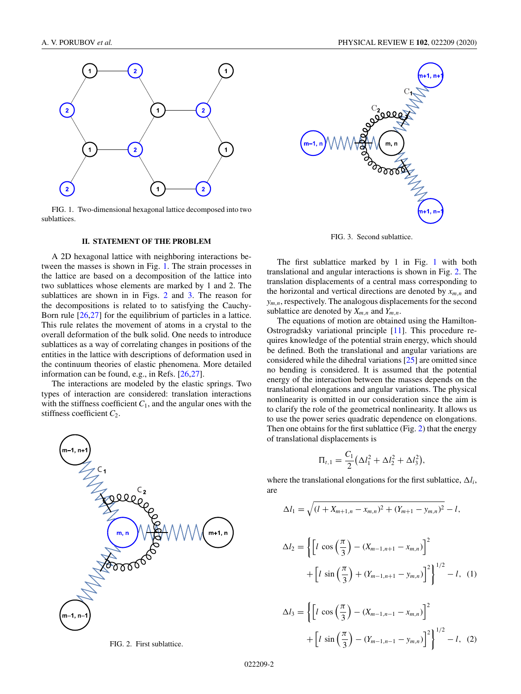<span id="page-1-0"></span>

FIG. 1. Two-dimensional hexagonal lattice decomposed into two sublattices.

# **II. STATEMENT OF THE PROBLEM**

A 2D hexagonal lattice with neighboring interactions between the masses is shown in Fig. 1. The strain processes in the lattice are based on a decomposition of the lattice into two sublattices whose elements are marked by 1 and 2. The sublattices are shown in in Figs. 2 and 3. The reason for the decompositions is related to to satisfying the Cauchy-Born rule [\[26,27\]](#page-9-0) for the equilibrium of particles in a lattice. This rule relates the movement of atoms in a crystal to the overall deformation of the bulk solid. One needs to introduce sublattices as a way of correlating changes in positions of the entities in the lattice with descriptions of deformation used in the continuum theories of elastic phenomena. More detailed information can be found, e.g., in Refs. [\[26,27\]](#page-9-0).

The interactions are modeled by the elastic springs. Two types of interaction are considered: translation interactions with the stiffness coefficient  $C_1$ , and the angular ones with the stiffness coefficient *C*2.



FIG. 2. First sublattice.



FIG. 3. Second sublattice.

The first sublattice marked by 1 in Fig. 1 with both translational and angular interactions is shown in Fig. 2. The translation displacements of a central mass corresponding to the horizontal and vertical directions are denoted by  $x_{m,n}$  and *ym*,*<sup>n</sup>*, respectively. The analogous displacements for the second sublattice are denoted by  $X_{m,n}$  and  $Y_{m,n}$ .

The equations of motion are obtained using the Hamilton-Ostrogradsky variational principle [\[11\]](#page-9-0). This procedure requires knowledge of the potential strain energy, which should be defined. Both the translational and angular variations are considered while the dihedral variations [\[25\]](#page-9-0) are omitted since no bending is considered. It is assumed that the potential energy of the interaction between the masses depends on the translational elongations and angular variations. The physical nonlinearity is omitted in our consideration since the aim is to clarify the role of the geometrical nonlinearity. It allows us to use the power series quadratic dependence on elongations. Then one obtains for the first sublattice (Fig. 2) that the energy of translational displacements is

$$
\Pi_{t,1} = \frac{C_1}{2} \left( \Delta l_1^2 + \Delta l_2^2 + \Delta l_3^2 \right),
$$

where the translational elongations for the first sublattice,  $\Delta l_i$ , are

$$
\Delta l_1 = \sqrt{(l + X_{m+1,n} - x_{m,n})^2 + (Y_{m+1} - y_{m,n})^2} - l,
$$
  
\n
$$
\Delta l_2 = \left\{ \left[ l \cos\left(\frac{\pi}{3}\right) - (X_{m-1,n+1} - x_{m,n}) \right]^2 + \left[ l \sin\left(\frac{\pi}{3}\right) + (Y_{m-1,n+1} - y_{m,n}) \right]^2 \right\}^{1/2} - l,
$$
 (1)

$$
\Delta l_3 = \left\{ \left[ l \cos \left( \frac{\pi}{3} \right) - (X_{m-1,n-1} - x_{m,n}) \right]^2 + \left[ l \sin \left( \frac{\pi}{3} \right) - (Y_{m-1,n-1} - y_{m,n}) \right]^2 \right\}^{1/2} - l, \quad (2)
$$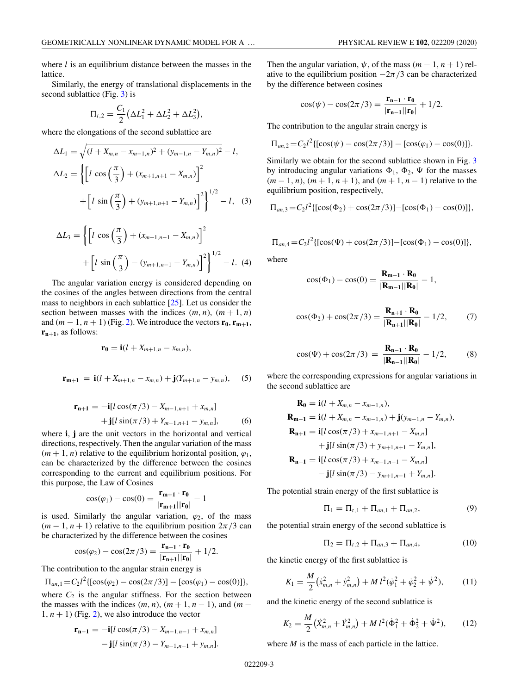where *l* is an equilibrium distance between the masses in the lattice.

Similarly, the energy of translational displacements in the second sublattice (Fig. [3\)](#page-1-0) is

$$
\Pi_{t,2} = \frac{C_1}{2} \left( \Delta L_1^2 + \Delta L_2^2 + \Delta L_3^2 \right),
$$

where the elongations of the second sublattice are

$$
\Delta L_1 = \sqrt{(l + X_{m,n} - x_{m-1,n})^2 + (y_{m-1,n} - Y_{m,n})^2} - l,
$$
  
\n
$$
\Delta L_2 = \left\{ \left[ l \cos\left(\frac{\pi}{3}\right) + (x_{m+1,n+1} - X_{m,n}) \right]^2 \right\}^{1/2} + \left[ l \sin\left(\frac{\pi}{3}\right) + (y_{m+1,n+1} - Y_{m,n}) \right]^2 \right\}^{1/2} - l,
$$
 (3)

$$
\Delta L_3 = \left\{ \left[ l \cos \left( \frac{\pi}{3} \right) + (x_{m+1,n-1} - x_{m,n}) \right]^2 + \left[ l \sin \left( \frac{\pi}{3} \right) - (y_{m+1,n-1} - x_{m,n}) \right]^2 \right\}^{1/2} - l. \tag{4}
$$

The angular variation energy is considered depending on the cosines of the angles between directions from the central mass to neighbors in each sublattice  $[25]$ . Let us consider the section between masses with the indices  $(m, n)$ ,  $(m + 1, n)$ and  $(m-1, n+1)$  (Fig. [2\)](#page-1-0). We introduce the vectors  $\mathbf{r}_0, \mathbf{r}_{m+1}$ ,  $\mathbf{r}_{n+1}$ , as follows:

$$
\mathbf{r_0} = \mathbf{i}(l + X_{m+1,n} - x_{m,n}),
$$

$$
\mathbf{r}_{m+1} = \mathbf{i}(l + X_{m+1,n} - x_{m,n}) + \mathbf{j}(Y_{m+1,n} - y_{m,n}), \quad (5)
$$

$$
\mathbf{r}_{n+1} = -\mathbf{i}[l\cos(\pi/3) - X_{m-1,n+1} + x_{m,n}] + \mathbf{j}[l\sin(\pi/3) + Y_{m-1,n+1} - y_{m,n}],
$$
(6)

where **i**, **j** are the unit vectors in the horizontal and vertical directions, respectively. Then the angular variation of the mass  $(m + 1, n)$  relative to the equilibrium horizontal position,  $\varphi_1$ , can be characterized by the difference between the cosines corresponding to the current and equilibrium positions. For this purpose, the Law of Cosines

$$
\cos(\varphi_1) - \cos(0) = \frac{\mathbf{r}_{m+1} \cdot \mathbf{r}_0}{|\mathbf{r}_{m+1}||\mathbf{r}_0|} - 1
$$

is used. Similarly the angular variation,  $\varphi_2$ , of the mass  $(m-1, n+1)$  relative to the equilibrium position  $2\pi/3$  can be characterized by the difference between the cosines

$$
\cos(\varphi_2) - \cos(2\pi/3) = \frac{\mathbf{r}_{n+1} \cdot \mathbf{r}_0}{|\mathbf{r}_{n+1}||\mathbf{r}_0|} + 1/2.
$$

The contribution to the angular strain energy is

$$
\Pi_{an,1} = C_2 l^2 \{ [\cos(\varphi_2) - \cos(2\pi/3)] - [\cos(\varphi_1) - \cos(0)] \},
$$

where  $C_2$  is the angular stiffness. For the section between the masses with the indices  $(m, n)$ ,  $(m + 1, n - 1)$ , and  $(m 1, n + 1$ ) (Fig. [2\)](#page-1-0), we also introduce the vector

$$
\mathbf{r}_{n-1} = -\mathbf{i}[l\cos(\pi/3) - X_{m-1,n-1} + x_{m,n}] - \mathbf{j}[l\sin(\pi/3) - Y_{m-1,n-1} + y_{m,n}].
$$

Then the angular variation,  $\psi$ , of the mass  $(m - 1, n + 1)$  relative to the equilibrium position  $-2\pi/3$  can be characterized by the difference between cosines

$$
\cos(\psi) - \cos(2\pi/3) = \frac{\mathbf{r}_{n-1} \cdot \mathbf{r}_0}{|\mathbf{r}_{n-1}||\mathbf{r}_0|} + 1/2.
$$

The contribution to the angular strain energy is

$$
\Pi_{an,2} = C_2 l^2 \{ [\cos(\psi) - \cos(2\pi/3)] - [\cos(\varphi_1) - \cos(0)] \}.
$$

Similarly we obtain for the second sublattice shown in Fig. [3](#page-1-0) by introducing angular variations  $\Phi_1$ ,  $\Phi_2$ ,  $\Psi$  for the masses (*m* − 1, *n*), (*m* + 1, *n* + 1), and (*m* + 1, *n* − 1) relative to the equilibrium position, respectively,

$$
\Pi_{an,3} = C_2 l^2 \{ [\cos(\Phi_2) + \cos(2\pi/3)] - [\cos(\Phi_1) - \cos(0)] \},
$$

$$
\Pi_{an,4} = C_2 l^2 \{ [\cos(\Psi) + \cos(2\pi/3)] - [\cos(\Phi_1) - \cos(0)] \},
$$

where

$$
\cos(\Phi_1) - \cos(0) = \frac{\mathbf{R}_{m-1} \cdot \mathbf{R}_0}{|\mathbf{R}_{m-1}||\mathbf{R}_0|} - 1,
$$

$$
\cos(\Phi_2) + \cos(2\pi/3) = \frac{\mathbf{R}_{n+1} \cdot \mathbf{R}_0}{|\mathbf{R}_{n+1}||\mathbf{R}_0|} - 1/2, \quad (7)
$$

$$
\cos(\Psi) + \cos(2\pi/3) = \frac{\mathbf{R}_{n-1} \cdot \mathbf{R}_0}{|\mathbf{R}_{n-1}||\mathbf{R}_0|} - 1/2, \quad (8)
$$

where the corresponding expressions for angular variations in the second sublattice are

$$
\mathbf{R}_{0} = \mathbf{i}(l + X_{m,n} - x_{m-1,n}),
$$
\n
$$
\mathbf{R}_{m-1} = \mathbf{i}(l + X_{m,n} - x_{m-1,n}) + \mathbf{j}(y_{m-1,n} - Y_{m,n}),
$$
\n
$$
\mathbf{R}_{n+1} = \mathbf{i}[l\cos(\pi/3) + x_{m+1,n+1} - X_{m,n}] + \mathbf{j}[l\sin(\pi/3) + y_{m+1,n+1} - Y_{m,n}],
$$
\n
$$
\mathbf{R}_{n-1} = \mathbf{i}[l\cos(\pi/3) + x_{m+1,n-1} - X_{m,n}] - \mathbf{j}[l\sin(\pi/3) - y_{m+1,n-1} + Y_{m,n}].
$$

The potential strain energy of the first sublattice is

$$
\Pi_1 = \Pi_{t,1} + \Pi_{an,1} + \Pi_{an,2},\tag{9}
$$

the potential strain energy of the second sublattice is

$$
\Pi_2 = \Pi_{t,2} + \Pi_{an,3} + \Pi_{an,4},\tag{10}
$$

the kinetic energy of the first sublattice is

$$
K_1 = \frac{M}{2} \left( \dot{x}_{m,n}^2 + \dot{y}_{m,n}^2 \right) + M l^2 (\dot{\varphi}_1^2 + \dot{\varphi}_2^2 + \dot{\psi}^2), \qquad (11)
$$

and the kinetic energy of the second sublattice is

$$
K_2 = \frac{M}{2} \left( \dot{X}_{m,n}^2 + \dot{Y}_{m,n}^2 \right) + M l^2 (\dot{\Phi}_1^2 + \dot{\Phi}_2^2 + \dot{\Psi}^2), \qquad (12)
$$

where *M* is the mass of each particle in the lattice.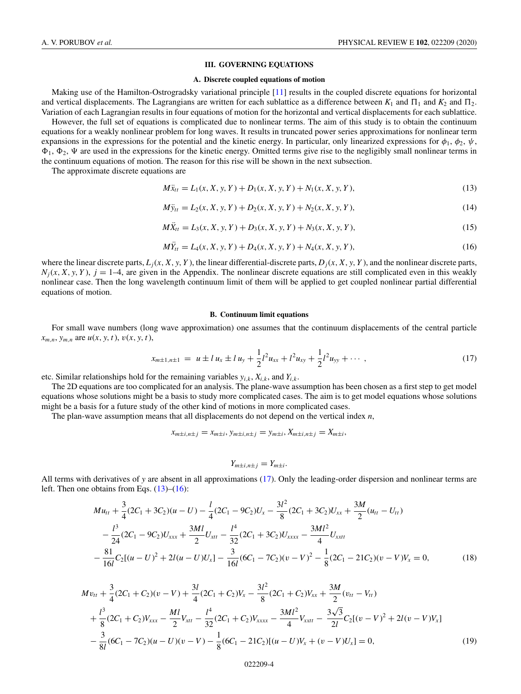### **III. GOVERNING EQUATIONS**

### **A. Discrete coupled equations of motion**

<span id="page-3-0"></span>Making use of the Hamilton-Ostrogradsky variational principle [\[11\]](#page-9-0) results in the coupled discrete equations for horizontal and vertical displacements. The Lagrangians are written for each sublattice as a difference between  $K_1$  and  $\Pi_1$  and  $K_2$  and  $\Pi_2$ . Variation of each Lagrangian results in four equations of motion for the horizontal and vertical displacements for each sublattice.

However, the full set of equations is complicated due to nonlinear terms. The aim of this study is to obtain the continuum equations for a weakly nonlinear problem for long waves. It results in truncated power series approximations for nonlinear term expansions in the expressions for the potential and the kinetic energy. In particular, only linearized expressions for  $\phi_1$ ,  $\phi_2$ ,  $\psi$ ,  $\Phi_1$ ,  $\Phi_2$ ,  $\Psi$  are used in the expressions for the kinetic energy. Omitted terms give rise to the negligibly small nonlinear terms in the continuum equations of motion. The reason for this rise will be shown in the next subsection.

The approximate discrete equations are

$$
M\ddot{x}_{tt} = L_1(x, X, y, Y) + D_1(x, X, y, Y) + N_1(x, X, y, Y),
$$
\n(13)

$$
M\ddot{y}_{tt} = L_2(x, X, y, Y) + D_2(x, X, y, Y) + N_2(x, X, y, Y),
$$
\n(14)

$$
M\ddot{X}_{tt} = L_3(x, X, y, Y) + D_3(x, X, y, Y) + N_3(x, X, y, Y),
$$
\n(15)

$$
M\ddot{Y}_{tt} = L_4(x, X, y, Y) + D_4(x, X, y, Y) + N_4(x, X, y, Y),
$$
\n(16)

where the linear discrete parts,  $L_i(x, X, y, Y)$ , the linear differential-discrete parts,  $D_i(x, X, y, Y)$ , and the nonlinear discrete parts,  $N_i(x, X, y, Y)$ ,  $j = 1-4$ , are given in the Appendix. The nonlinear discrete equations are still complicated even in this weakly nonlinear case. Then the long wavelength continuum limit of them will be applied to get coupled nonlinear partial differential equations of motion.

#### **B. Continuum limit equations**

For small wave numbers (long wave approximation) one assumes that the continuum displacements of the central particle *xm*,*<sup>n</sup>*, *ym*,*<sup>n</sup>* are *u*(*x*, *y*,*t*), *v*(*x*, *y*,*t*),

$$
x_{m\pm 1,n\pm 1} = u \pm l u_x \pm l u_y + \frac{1}{2} l^2 u_{xx} + l^2 u_{xy} + \frac{1}{2} l^2 u_{yy} + \cdots,
$$
\n(17)

etc. Similar relationships hold for the remaining variables  $y_{i,k}$ ,  $X_{i,k}$ , and  $Y_{i,k}$ .

The 2D equations are too complicated for an analysis. The plane-wave assumption has been chosen as a first step to get model equations whose solutions might be a basis to study more complicated cases. The aim is to get model equations whose solutions might be a basis for a future study of the other kind of motions in more complicated cases.

The plan-wave assumption means that all displacements do not depend on the vertical index *n*,

$$
x_{m\pm i,n\pm j} = x_{m\pm i}, y_{m\pm i,n\pm j} = y_{m\pm i}, X_{m\pm i,n\pm j} = X_{m\pm i},
$$

$$
Y_{m\pm i,n\pm j}=Y_{m\pm i}.
$$

All terms with derivatives of *y* are absent in all approximations (17). Only the leading-order dispersion and nonlinear terms are left. Then one obtains from Eqs.  $(13)$ – $(16)$ :

$$
Mu_{tt} + \frac{3}{4}(2C_1 + 3C_2)(u - U) - \frac{l}{4}(2C_1 - 9C_2)U_x - \frac{3l^2}{8}(2C_1 + 3C_2)U_{xx} + \frac{3M}{2}(u_{tt} - U_{tt})
$$
  

$$
-\frac{l^3}{24}(2C_1 - 9C_2)U_{xxx} + \frac{3Ml}{2}U_{xtt} - \frac{l^4}{32}(2C_1 + 3C_2)U_{xxxx} - \frac{3Ml^2}{4}U_{xxtt}
$$
  

$$
-\frac{81}{16l}C_2[(u - U)^2 + 2l(u - U)U_x] - \frac{3}{16l}(6C_1 - 7C_2)(v - V)^2 - \frac{1}{8}(2C_1 - 21C_2)(v - V)V_x = 0,
$$
 (18)

$$
Mv_{tt} + \frac{3}{4}(2C_1 + C_2)(v - V) + \frac{3l}{4}(2C_1 + C_2)V_x - \frac{3l^2}{8}(2C_1 + C_2)V_{xx} + \frac{3M}{2}(v_{tt} - V_{tt})
$$
  
+ 
$$
\frac{l^3}{8}(2C_1 + C_2)V_{xxx} - \frac{Ml}{2}V_{xtt} - \frac{l^4}{32}(2C_1 + C_2)V_{xxxx} - \frac{3Ml^2}{4}V_{xxtt} - \frac{3\sqrt{3}}{2l}C_2[(v - V)^2 + 2l(v - V)V_x]
$$
  
- 
$$
\frac{3}{8l}(6C_1 - 7C_2)(u - U)(v - V) - \frac{1}{8}(6C_1 - 21C_2)[(u - U)V_x + (v - V)U_x] = 0,
$$
 (19)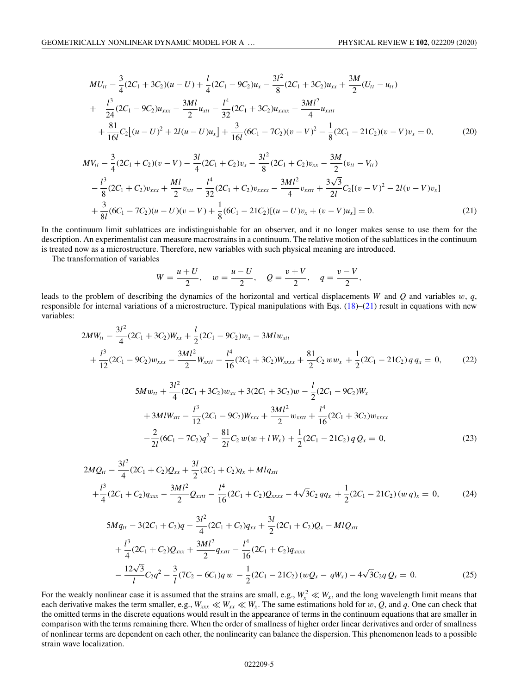<span id="page-4-0"></span>
$$
MU_{tt} - \frac{3}{4}(2C_1 + 3C_2)(u - U) + \frac{l}{4}(2C_1 - 9C_2)u_x - \frac{3l^2}{8}(2C_1 + 3C_2)u_{xx} + \frac{3M}{2}(U_{tt} - u_{tt})
$$
  
+ 
$$
\frac{l^3}{24}(2C_1 - 9C_2)u_{xxx} - \frac{3Ml}{2}u_{xtt} - \frac{l^4}{32}(2C_1 + 3C_2)u_{xxxx} - \frac{3Ml^2}{4}u_{xxtt}
$$
  
+ 
$$
\frac{81}{16l}C_2[(u - U)^2 + 2l(u - U)u_x] + \frac{3}{16l}(6C_1 - 7C_2)(v - V)^2 - \frac{1}{8}(2C_1 - 21C_2)(v - V)v_x = 0,
$$
 (20)

$$
MV_{tt} - \frac{3}{4}(2C_1 + C_2)(v - V) - \frac{3l}{4}(2C_1 + C_2)v_x - \frac{3l^2}{8}(2C_1 + C_2)v_{xx} - \frac{3M}{2}(v_{tt} - V_{tt})
$$
  

$$
- \frac{l^3}{8}(2C_1 + C_2)v_{xxx} + \frac{Ml}{2}v_{xtt} - \frac{l^4}{32}(2C_1 + C_2)v_{xxx} - \frac{3Ml^2}{4}v_{xxtt} + \frac{3\sqrt{3}}{2l}C_2[(v - V)^2 - 2l(v - V)v_x]
$$
  

$$
+ \frac{3}{8l}(6C_1 - 7C_2)(u - U)(v - V) + \frac{1}{8}(6C_1 - 21C_2)[(u - U)v_x + (v - V)u_x] = 0.
$$
 (21)

In the continuum limit sublattices are indistinguishable for an observer, and it no longer makes sense to use them for the description. An experimentalist can measure macrostrains in a continuum. The relative motion of the sublattices in the continuum is treated now as a microstructure. Therefore, new variables with such physical meaning are introduced.

The transformation of variables

$$
W = \frac{u+U}{2}, \quad w = \frac{u-U}{2}, \quad Q = \frac{v+V}{2}, \quad q = \frac{v-V}{2},
$$

leads to the problem of describing the dynamics of the horizontal and vertical displacements *W* and *Q* and variables *w*, *q*, responsible for internal variations of a microstructure. Typical manipulations with Eqs.  $(18)$ – $(21)$  result in equations with new variables:

$$
2MW_{tt} - \frac{3l^2}{4}(2C_1 + 3C_2)W_{xx} + \frac{l}{2}(2C_1 - 9C_2)w_x - 3Mlw_{xtt} + \frac{l^3}{12}(2C_1 - 9C_2)w_{xxx} - \frac{3Ml^2}{2}W_{xxtt} - \frac{l^4}{16}(2C_1 + 3C_2)W_{xxxx} + \frac{81}{2}C_2ww_x + \frac{1}{2}(2C_1 - 21C_2)qq_x = 0,
$$
 (22)

$$
5Mw_{tt} + \frac{3l^2}{4}(2C_1 + 3C_2)w_{xx} + 3(2C_1 + 3C_2)w - \frac{l}{2}(2C_1 - 9C_2)W_x
$$
  
+3M lW<sub>xtt</sub> -  $\frac{l^3}{12}(2C_1 - 9C_2)W_{xxx} + \frac{3Ml^2}{2}w_{xxtt} + \frac{l^4}{16}(2C_1 + 3C_2)w_{xxxx}$   
- $\frac{2}{2l}(6C_1 - 7C_2)q^2 - \frac{81}{2l}C_2w(w + lW_x) + \frac{1}{2}(2C_1 - 21C_2)qQ_x = 0,$  (23)

$$
2MQ_{tt} - \frac{3l^2}{4}(2C_1 + C_2)Q_{xx} + \frac{3l}{2}(2C_1 + C_2)q_x + Mlq_{xtt}
$$
  
+ 
$$
\frac{l^3}{4}(2C_1 + C_2)q_{xxx} - \frac{3Ml^2}{2}Q_{xxtt} - \frac{l^4}{16}(2C_1 + C_2)Q_{xxxx} - 4\sqrt{3}C_2 qq_x + \frac{1}{2}(2C_1 - 21C_2)(wq)_x = 0,
$$
 (24)

$$
5Mq_{tt} - 3(2C_1 + C_2)q - \frac{3l^2}{4}(2C_1 + C_2)q_{xx} + \frac{3l}{2}(2C_1 + C_2)Q_x - MlQ_{xtt}
$$
  
+ 
$$
\frac{l^3}{4}(2C_1 + C_2)Q_{xxx} + \frac{3Ml^2}{2}q_{xxtt} - \frac{l^4}{16}(2C_1 + C_2)q_{xxxx}
$$
  
- 
$$
\frac{12\sqrt{3}}{l}C_2q^2 - \frac{3}{l}(7C_2 - 6C_1)q w - \frac{1}{2}(2C_1 - 21C_2) (wQ_x - qW_x) - 4\sqrt{3}C_2q Q_x = 0.
$$
 (25)

For the weakly nonlinear case it is assumed that the strains are small, e.g.,  $W_x^2 \ll W_x$ , and the long wavelength limit means that each derivative makes the term smaller, e.g.,  $W_{xxx} \ll W_{xx} \ll W_x$ . The same estimations hold for  $w, Q$ , and  $q$ . One can check that the omitted terms in the discrete equations would result in the appearance of terms in the continuum equations that are smaller in comparison with the terms remaining there. When the order of smallness of higher order linear derivatives and order of smallness of nonlinear terms are dependent on each other, the nonlinearity can balance the dispersion. This phenomenon leads to a possible strain wave localization.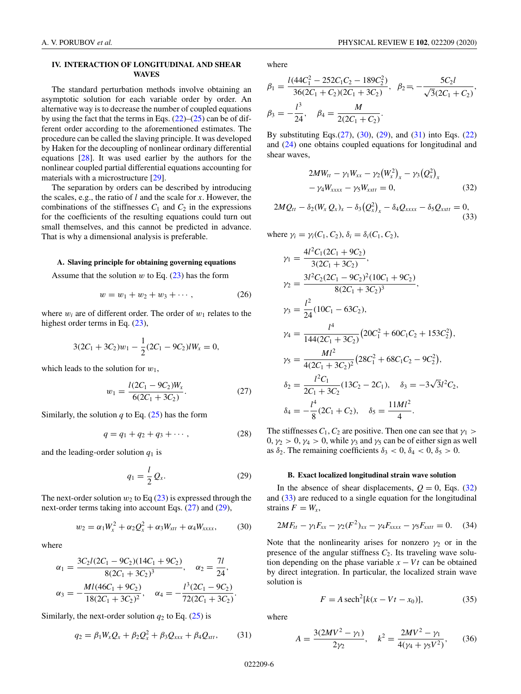# <span id="page-5-0"></span>**IV. INTERACTION OF LONGITUDINAL AND SHEAR WAVES**

The standard perturbation methods involve obtaining an asymptotic solution for each variable order by order. An alternative way is to decrease the number of coupled equations by using the fact that the terms in Eqs.  $(22)$ – $(25)$  can be of different order according to the aforementioned estimates. The procedure can be called the slaving principle. It was developed by Haken for the decoupling of nonlinear ordinary differential equations [\[28\]](#page-9-0). It was used earlier by the authors for the nonlinear coupled partial differential equations accounting for materials with a microstructure [\[29\]](#page-9-0).

The separation by orders can be described by introducing the scales, e.g., the ratio of *l* and the scale for *x*. However, the combinations of the stiffnesses  $C_1$  and  $C_2$  in the expressions for the coefficients of the resulting equations could turn out small themselves, and this cannot be predicted in advance. That is why a dimensional analysis is preferable.

### **A. Slaving principle for obtaining governing equations**

Assume that the solution  $w$  to Eq.  $(23)$  has the form

$$
w = w_1 + w_2 + w_3 + \cdots, \qquad (26)
$$

where  $w_i$  are of different order. The order of  $w_1$  relates to the highest order terms in Eq.  $(23)$ ,

$$
3(2C_1 + 3C_2)w_1 - \frac{1}{2}(2C_1 - 9C_2)lW_x = 0,
$$

which leads to the solution for *w*1,

$$
w_1 = \frac{l(2C_1 - 9C_2)W_x}{6(2C_1 + 3C_2)}.
$$
\n(27)

Similarly, the solution  $q$  to Eq. [\(25\)](#page-4-0) has the form

$$
q = q_1 + q_2 + q_3 + \cdots, \qquad (28)
$$

and the leading-order solution  $q_1$  is

$$
q_1 = \frac{l}{2} Q_x. \tag{29}
$$

The next-order solution  $w_2$  to Eq  $(23)$  is expressed through the next-order terms taking into account Eqs. (27) and (29),

$$
w_2 = \alpha_1 W_x^2 + \alpha_2 Q_x^2 + \alpha_3 W_{xtt} + \alpha_4 W_{xxxx},
$$
 (30)

where

$$
\alpha_1 = \frac{3C_2l(2C_1 - 9C_2)(14C_1 + 9C_2)}{8(2C_1 + 3C_2)^3}, \quad \alpha_2 = \frac{7l}{24},
$$
  

$$
\alpha_3 = -\frac{MI(46C_1 + 9C_2)}{18(2C_1 + 3C_2)^2}, \quad \alpha_4 = -\frac{l^3(2C_1 - 9C_2)}{72(2C_1 + 3C_2)}.
$$

Similarly, the next-order solution  $q_2$  to Eq. [\(25\)](#page-4-0) is

$$
q_2 = \beta_1 W_x Q_x + \beta_2 Q_x^2 + \beta_3 Q_{xxx} + \beta_4 Q_{xtt}, \qquad (31)
$$

where

$$
\beta_1 = \frac{l(44C_1^2 - 252C_1C_2 - 189C_2^2)}{36(2C_1 + C_2)(2C_1 + 3C_2)}, \ \beta_2 = -\frac{5C_2l}{\sqrt{3}(2C_1 + C_2)},
$$

$$
\beta_3 = -\frac{l^3}{24}, \ \beta_4 = \frac{M}{2(2C_1 + C_2)}.
$$

By substituting Eqs. $(27)$ ,  $(30)$ ,  $(29)$ , and  $(31)$  into Eqs.  $(22)$ and [\(24\)](#page-4-0) one obtains coupled equations for longitudinal and shear waves,

$$
2MW_{tt} - \gamma_1 W_{xx} - \gamma_2 (W_x^2)_x - \gamma_3 (Q_x^2)_x - \gamma_4 W_{xxxx} - \gamma_5 W_{xxtt} = 0,
$$
\n(32)

$$
2MQ_{tt}-\delta_2(W_x Q_x)_x-\delta_3(Q_x^2)_x-\delta_4Q_{xxxx}-\delta_5Q_{xxtt}=0,
$$
\n(33)

where  $\gamma_i = \gamma_i(C_1, C_2), \delta_i = \delta_i(C_1, C_2),$ 

$$
\gamma_1 = \frac{4l^2C_1(2C_1 + 9C_2)}{3(2C_1 + 3C_2)},
$$
  
\n
$$
\gamma_2 = \frac{3l^2C_2(2C_1 - 9C_2)^2(10C_1 + 9C_2)}{8(2C_1 + 3C_2)^3},
$$
  
\n
$$
\gamma_3 = \frac{l^2}{24}(10C_1 - 63C_2),
$$
  
\n
$$
\gamma_4 = \frac{l^4}{144(2C_1 + 3C_2)}(20C_1^2 + 60C_1C_2 + 153C_2^2),
$$
  
\n
$$
\gamma_5 = \frac{Ml^2}{4(2C_1 + 3C_2)^2}(28C_1^2 + 68C_1C_2 - 9C_2^2),
$$
  
\n
$$
\delta_2 = \frac{l^2C_1}{2C_1 + 3C_2}(13C_2 - 2C_1), \quad \delta_3 = -3\sqrt{3}l^2C_2,
$$
  
\n
$$
\delta_4 = -\frac{l^4}{8}(2C_1 + C_2), \quad \delta_5 = \frac{11Ml^2}{4}.
$$

The stiffnesses  $C_1$ ,  $C_2$  are positive. Then one can see that  $\gamma_1$  $0, \gamma_2 > 0, \gamma_4 > 0$ , while  $\gamma_3$  and  $\gamma_5$  can be of either sign as well as  $\delta_2$ . The remaining coefficients  $\delta_3 < 0$ ,  $\delta_4 < 0$ ,  $\delta_5 > 0$ .

## **B. Exact localized longitudinal strain wave solution**

In the absence of shear displacements,  $Q = 0$ , Eqs. (32) and (33) are reduced to a single equation for the longitudinal strains  $F = W_x$ ,

$$
2MF_{tt} - \gamma_1 F_{xx} - \gamma_2 (F^2)_{xx} - \gamma_4 F_{xxxx} - \gamma_5 F_{xxtt} = 0. \quad (34)
$$

Note that the nonlinearity arises for nonzero  $\gamma_2$  or in the presence of the angular stiffness  $C_2$ . Its traveling wave solution depending on the phase variable  $x - Vt$  can be obtained by direct integration. In particular, the localized strain wave solution is

$$
F = A \operatorname{sech}^2[k(x - Vt - x_0)],\tag{35}
$$

where

$$
A = \frac{3(2MV^2 - \gamma_1)}{2\gamma_2}, \quad k^2 = \frac{2MV^2 - \gamma_1}{4(\gamma_4 + \gamma_5 V^2)},\tag{36}
$$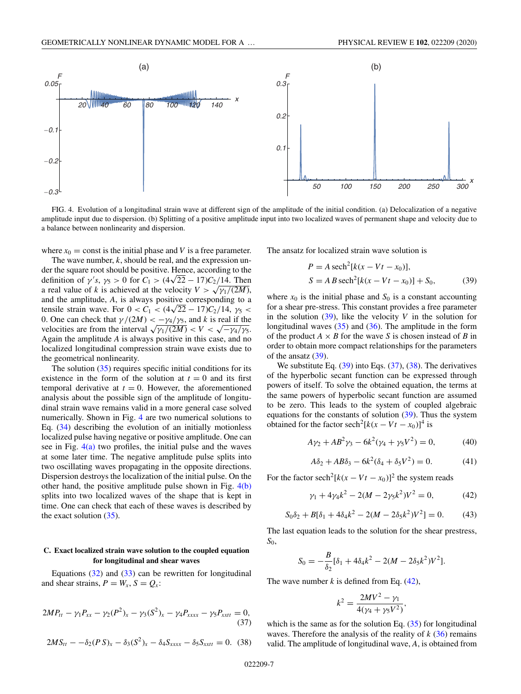<span id="page-6-0"></span>

FIG. 4. Evolution of a longitudinal strain wave at different sign of the amplitude of the initial condition. (a) Delocalization of a negative amplitude input due to dispersion. (b) Splitting of a positive amplitude input into two localized waves of permanent shape and velocity due to a balance between nonlinearity and dispersion.

where  $x_0$  = const is the initial phase and *V* is a free parameter.

The wave number, *k*, should be real, and the expression under the square root should be positive. Hence, according to the der the square root should be positive. Hence, according to the definition of  $\gamma' s$ ,  $\gamma_5 > 0$  for  $C_1 > (4\sqrt{22} - 17)C_2/14$ . Then a real value of *k* is achieved at the velocity  $V > \sqrt{\gamma_1/(2M)}$ , and the amplitude, *A*, is always positive corresponding to a tensile strain wave. For  $0 < C_1 < (4\sqrt{22} - 17)C_2/14$ ,  $\gamma_5 <$ 0. One can check that  $\gamma/(2M) < -\gamma_4/\gamma_5$ , and *k* is real if the velocities are from the interval  $\sqrt{\gamma_1/(2M)} < V < \sqrt{-\gamma_4/\gamma_5}$ . Again the amplitude *A* is always positive in this case, and no localized longitudinal compression strain wave exists due to the geometrical nonlinearity.

The solution  $(35)$  requires specific initial conditions for its existence in the form of the solution at  $t = 0$  and its first temporal derivative at  $t = 0$ . However, the aforementioned analysis about the possible sign of the amplitude of longitudinal strain wave remains valid in a more general case solved numerically. Shown in Fig. 4 are two numerical solutions to Eq. [\(34\)](#page-5-0) describing the evolution of an initially motionless localized pulse having negative or positive amplitude. One can see in Fig.  $4(a)$  two profiles, the initial pulse and the waves at some later time. The negative amplitude pulse splits into two oscillating waves propagating in the opposite directions. Dispersion destroys the localization of the initial pulse. On the other hand, the positive amplitude pulse shown in Fig.  $4(b)$ splits into two localized waves of the shape that is kept in time. One can check that each of these waves is described by the exact solution  $(35)$ .

## **C. Exact localized strain wave solution to the coupled equation for longitudinal and shear waves**

Equations  $(32)$  and  $(33)$  can be rewritten for longitudinal and shear strains,  $P = W_x$ ,  $S = Q_x$ :

$$
2MP_{tt} - \gamma_1 P_{xx} - \gamma_2 (P^2)_x - \gamma_3 (S^2)_x - \gamma_4 P_{xxxx} - \gamma_5 P_{xxtt} = 0,
$$
\n(37)

$$
2MS_{tt} - \delta_2 (PS)_x - \delta_3 (S^2)_x - \delta_4 S_{xxxx} - \delta_5 S_{xxtt} = 0.
$$
 (38)

The ansatz for localized strain wave solution is

$$
P = A \operatorname{sech}^{2}[k(x - Vt - x_{0})],
$$
  
\n
$$
S = AB \operatorname{sech}^{2}[k(x - Vt - x_{0})] + S_{0},
$$
\n(39)

where  $x_0$  is the initial phase and  $S_0$  is a constant accounting for a shear pre-stress. This constant provides a free parameter in the solution  $(39)$ , like the velocity *V* in the solution for longitudinal waves  $(35)$  and  $(36)$ . The amplitude in the form of the product  $A \times B$  for the wave *S* is chosen instead of *B* in order to obtain more compact relationships for the parameters of the ansatz  $(39)$ .

We substitute Eq. (39) into Eqs. (37), (38). The derivatives of the hyperbolic secant function can be expressed through powers of itself. To solve the obtained equation, the terms at the same powers of hyperbolic secant function are assumed to be zero. This leads to the system of coupled algebraic equations for the constants of solution  $(39)$ . Thus the system obtained for the factor sech<sup>2</sup>[ $k(x - Vt - x_0)$ ]<sup>4</sup> is

$$
A\gamma_2 + AB^2\gamma_3 - 6k^2(\gamma_4 + \gamma_5 V^2) = 0,\tag{40}
$$

$$
A\delta_2 + AB\delta_3 - 6k^2(\delta_4 + \delta_5 V^2) = 0.
$$
 (41)

For the factor sech<sup>2</sup>[ $k(x - Vt - x_0)$ ]<sup>2</sup> the system reads

$$
\gamma_1 + 4\gamma_4 k^2 - 2(M - 2\gamma_5 k^2)V^2 = 0, \tag{42}
$$

$$
S_0 \delta_2 + B[\delta_1 + 4\delta_4 k^2 - 2(M - 2\delta_5 k^2)V^2] = 0.
$$
 (43)

The last equation leads to the solution for the shear prestress, *S*0,

$$
S_0 = -\frac{B}{\delta_2} [\delta_1 + 4\delta_4 k^2 - 2(M - 2\delta_5 k^2)V^2].
$$

The wave number  $k$  is defined from Eq.  $(42)$ ,

$$
k^2 = \frac{2MV^2 - \gamma_1}{4(\gamma_4 + \gamma_5 V^2)},
$$

which is the same as for the solution Eq.  $(35)$  for longitudinal waves. Therefore the analysis of the reality of  $k$  [\(36\)](#page-5-0) remains valid. The amplitude of longitudinal wave, *A*, is obtained from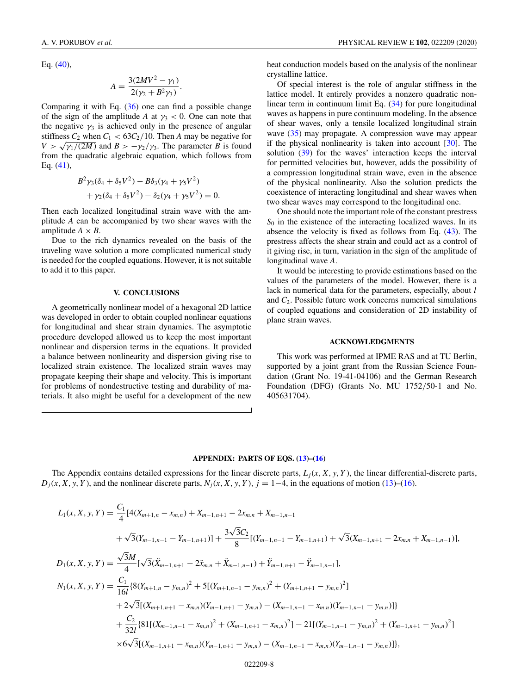<span id="page-7-0"></span>Eq. [\(40\)](#page-6-0),

$$
A = \frac{3(2MV^2 - \gamma_1)}{2(\gamma_2 + B^2 \gamma_3)}.
$$

Comparing it with Eq.  $(36)$  one can find a possible change of the sign of the amplitude *A* at  $\gamma_3$  < 0. One can note that the negative  $\gamma_3$  is achieved only in the presence of angular stiffness  $C_2$  when  $C_1 < 63C_2/10$ . Then *A* may be negative for  $V > \sqrt{\gamma_1/(2M)}$  and  $B > -\gamma_2/\gamma_3$ . The parameter *B* is found from the quadratic algebraic equation, which follows from Eq. [\(41\)](#page-6-0),

$$
B^{2}\gamma_{3}(\delta_{4} + \delta_{5}V^{2}) - B\delta_{3}(\gamma_{4} + \gamma_{5}V^{2}) + \gamma_{2}(\delta_{4} + \delta_{5}V^{2}) - \delta_{2}(\gamma_{4} + \gamma_{5}V^{2}) = 0.
$$

Then each localized longitudinal strain wave with the amplitude *A* can be accompanied by two shear waves with the amplitude  $A \times B$ .

Due to the rich dynamics revealed on the basis of the traveling wave solution a more complicated numerical study is needed for the coupled equations. However, it is not suitable to add it to this paper.

## **V. CONCLUSIONS**

A geometrically nonlinear model of a hexagonal 2D lattice was developed in order to obtain coupled nonlinear equations for longitudinal and shear strain dynamics. The asymptotic procedure developed allowed us to keep the most important nonlinear and dispersion terms in the equations. It provided a balance between nonlinearity and dispersion giving rise to localized strain existence. The localized strain waves may propagate keeping their shape and velocity. This is important for problems of nondestructive testing and durability of materials. It also might be useful for a development of the new

heat conduction models based on the analysis of the nonlinear crystalline lattice.

Of special interest is the role of angular stiffness in the lattice model. It entirely provides a nonzero quadratic nonlinear term in continuum limit Eq. [\(34\)](#page-5-0) for pure longitudinal waves as happens in pure continuum modeling. In the absence of shear waves, only a tensile localized longitudinal strain wave [\(35\)](#page-5-0) may propagate. A compression wave may appear if the physical nonlinearity is taken into account [\[30\]](#page-9-0). The solution [\(39\)](#page-6-0) for the waves' interaction keeps the interval for permitted velocities but, however, adds the possibility of a compression longitudinal strain wave, even in the absence of the physical nonlinearity. Also the solution predicts the coexistence of interacting longitudinal and shear waves when two shear waves may correspond to the longitudinal one.

One should note the important role of the constant prestress  $S<sub>0</sub>$  in the existence of the interacting localized waves. In its absence the velocity is fixed as follows from Eq. [\(43\)](#page-6-0). The prestress affects the shear strain and could act as a control of it giving rise, in turn, variation in the sign of the amplitude of longitudinal wave *A*.

It would be interesting to provide estimations based on the values of the parameters of the model. However, there is a lack in numerical data for the parameters, especially, about *l* and *C*2. Possible future work concerns numerical simulations of coupled equations and consideration of 2D instability of plane strain waves.

### **ACKNOWLEDGMENTS**

This work was performed at IPME RAS and at TU Berlin, supported by a joint grant from the Russian Science Foundation (Grant No. 19-41-04106) and the German Research Foundation (DFG) (Grants No. MU 1752/50-1 and No. 405631704).

### **APPENDIX: PARTS OF EQS. [\(13\)](#page-3-0)–[\(16\)](#page-3-0)**

The Appendix contains detailed expressions for the linear discrete parts,  $L_j(x, X, y, Y)$ , the linear differential-discrete parts,  $D_j(x, X, y, Y)$ , and the nonlinear discrete parts,  $N_j(x, X, y, Y)$ ,  $j = 1-4$ , in the equations of motion [\(13\)](#page-3-0)–[\(16\)](#page-3-0).

$$
L_{1}(x, X, y, Y) = \frac{C_{1}}{4} [4(X_{m+1,n} - x_{m,n}) + X_{m-1,n+1} - 2x_{m,n} + X_{m-1,n-1}
$$
  
+  $\sqrt{3}(Y_{m-1,n-1} - Y_{m-1,n+1})] + \frac{3\sqrt{3}C_{2}}{8} [(Y_{m-1,n-1} - Y_{m-1,n+1}) + \sqrt{3}(X_{m-1,n+1} - 2x_{m,n} + X_{m-1,n-1})],$   

$$
D_{1}(x, X, y, Y) = \frac{\sqrt{3}M}{4} [\sqrt{3}(\ddot{X}_{m-1,n+1} - 2\ddot{x}_{m,n} + \ddot{X}_{m-1,n-1}) + \ddot{Y}_{m-1,n+1} - \ddot{Y}_{m-1,n-1}],
$$
  

$$
N_{1}(x, X, y, Y) = \frac{C_{1}}{16l} [8(Y_{m+1,n} - y_{m,n})^{2} + 5[(Y_{m+1,n-1} - y_{m,n})^{2} + (Y_{m+1,n+1} - y_{m,n})^{2}] + 2\sqrt{3}[(X_{m+1,n+1} - x_{m,n})(Y_{m-1,n+1} - y_{m,n}) - (X_{m-1,n-1} - x_{m,n})(Y_{m-1,n-1} - y_{m,n})] + \frac{C_{2}}{32l} [81[(X_{m-1,n-1} - x_{m,n})^{2} + (X_{m-1,n+1} - x_{m,n})^{2}] - 21[(Y_{m-1,n-1} - y_{m,n})^{2} + (Y_{m-1,n+1} - y_{m,n})^{2}] + 6\sqrt{3}[(X_{m-1,n+1} - x_{m,n})(Y_{m-1,n+1} - y_{m,n}) - (X_{m-1,n-1} - x_{m,n})(Y_{m-1,n-1} - y_{m,n})]],
$$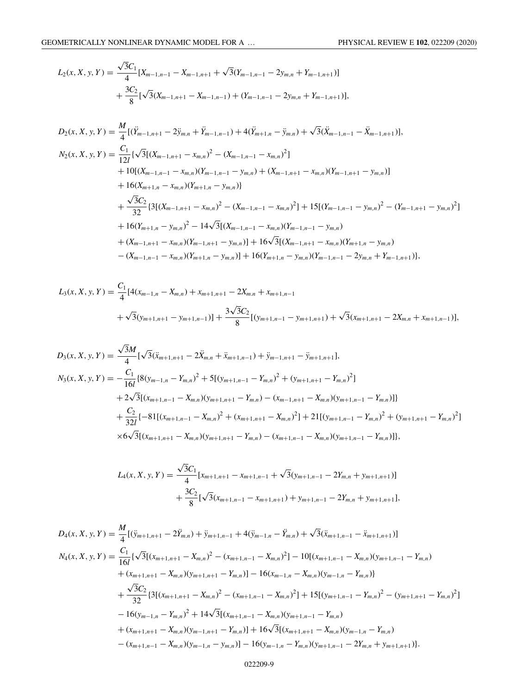$$
L_2(x, X, y, Y) = \frac{\sqrt{3}C_1}{4} [X_{m-1,n-1} - X_{m-1,n+1} + \sqrt{3}(Y_{m-1,n-1} - 2y_{m,n} + Y_{m-1,n+1})] + \frac{3C_2}{8} [\sqrt{3}(X_{m-1,n+1} - X_{m-1,n-1}) + (Y_{m-1,n-1} - 2y_{m,n} + Y_{m-1,n+1})],
$$

$$
D_2(x, X, y, Y) = \frac{M}{4} [(\ddot{Y}_{m-1,n+1} - 2\ddot{y}_{m,n} + \ddot{Y}_{m-1,n-1}) + 4(\ddot{Y}_{m+1,n} - \ddot{y}_{m,n}) + \sqrt{3}(\ddot{X}_{m-1,n-1} - \ddot{X}_{m-1,n+1})],
$$
  
\n
$$
N_2(x, X, y, Y) = \frac{C_1}{12l} \{ \sqrt{3} [(X_{m-1,n+1} - x_{m,n})^2 - (X_{m-1,n-1} - x_{m,n})^2 ]
$$
\n
$$
+ 10[(X_{m-1,n-1} - x_{m,n})(Y_{m-1,n-1} - y_{m,n}) + (X_{m-1,n+1} - x_{m,n})(Y_{m-1,n+1} - y_{m,n})]
$$
\n
$$
+ 16(X_{m+1,n} - x_{m,n})(Y_{m+1,n} - y_{m,n})\}
$$
\n
$$
+ \frac{\sqrt{3}C_2}{32} \{3[(X_{m-1,n+1} - x_{m,n})^2 - (X_{m-1,n-1} - x_{m,n})^2] + 15[(Y_{m-1,n-1} - y_{m,n})^2 - (Y_{m-1,n+1} - y_{m,n})^2 ]
$$
\n
$$
+ 16(Y_{m+1,n} - y_{m,n})^2 - 14\sqrt{3}[(X_{m-1,n-1} - x_{m,n})(Y_{m-1,n-1} - y_{m,n})
$$
\n
$$
+ (X_{m-1,n+1} - x_{m,n})(Y_{m-1,n+1} - y_{m,n})] + 16\sqrt{3}[(X_{m-1,n+1} - x_{m,n})(Y_{m+1,n} - y_{m,n})]
$$
\n
$$
- (X_{m-1,n-1} - x_{m,n})(Y_{m+1,n} - y_{m,n})] + 16(Y_{m+1,n} - y_{m,n})(Y_{m-1,n-1} - 2y_{m,n} + Y_{m-1,n+1})],
$$

$$
L_3(x, X, y, Y) = \frac{C_1}{4} [4(x_{m-1,n} - X_{m,n}) + x_{m+1,n+1} - 2X_{m,n} + x_{m+1,n-1} + \sqrt{3}(y_{m+1,n+1} - y_{m+1,n-1})] + \frac{3\sqrt{3}C_2}{8} [(y_{m+1,n-1} - y_{m+1,n+1}) + \sqrt{3}(x_{m+1,n+1} - 2X_{m,n} + x_{m+1,n-1})],
$$

$$
D_3(x, X, y, Y) = \frac{\sqrt{3}M}{4} [\sqrt{3}(\ddot{x}_{m+1,n+1} - 2\ddot{X}_{m,n} + \ddot{x}_{m+1,n-1}) + \ddot{y}_{m-1,n+1} - \ddot{y}_{m+1,n+1}],
$$
  
\n
$$
N_3(x, X, y, Y) = -\frac{C_1}{16l} \{8(y_{m-1,n} - Y_{m,n})^2 + 5[(y_{m+1,n-1} - Y_{m,n})^2 + (y_{m+1,n+1} - Y_{m,n})^2]
$$
  
\n
$$
+ 2\sqrt{3}[(x_{m+1,n-1} - X_{m,n})(y_{m+1,n+1} - Y_{m,n}) - (x_{m-1,n+1} - X_{m,n})(y_{m+1,n-1} - Y_{m,n})]\}
$$
  
\n
$$
+ \frac{C_2}{32l} \{-81[(x_{m+1,n-1} - X_{m,n})^2 + (x_{m+1,n+1} - X_{m,n})^2] + 21[(y_{m+1,n-1} - Y_{m,n})^2 + (y_{m+1,n+1} - Y_{m,n})^2]
$$
  
\n
$$
\times 6\sqrt{3}[(x_{m+1,n+1} - X_{m,n})(y_{m+1,n+1} - Y_{m,n}) - (x_{m+1,n-1} - X_{m,n})(y_{m+1,n-1} - Y_{m,n})]\},
$$

$$
L_4(x, X, y, Y) = \frac{\sqrt{3}C_1}{4} [x_{m+1,n+1} - x_{m+1,n-1} + \sqrt{3}(y_{m+1,n-1} - 2Y_{m,n} + y_{m+1,n+1})] + \frac{3C_2}{8} [\sqrt{3}(x_{m+1,n-1} - x_{m+1,n+1}) + y_{m+1,n-1} - 2Y_{m,n} + y_{m+1,n+1}],
$$

$$
D_{4}(x, X, y, Y) = \frac{M}{4} [(\ddot{y}_{m+1,n+1} - 2\ddot{Y}_{m,n}) + \ddot{y}_{m+1,n-1} + 4(\ddot{y}_{m-1,n} - \ddot{Y}_{m,n}) + \sqrt{3}(\ddot{x}_{m+1,n-1} - \ddot{x}_{m+1,n+1})]
$$
  
\n
$$
N_{4}(x, X, y, Y) = \frac{C_{1}}{16l} \{\sqrt{3} [(x_{m+1,n+1} - X_{m,n})^{2} - (x_{m+1,n-1} - X_{m,n})^{2}] - 10[(x_{m+1,n-1} - X_{m,n})(y_{m+1,n-1} - Y_{m,n}) + (x_{m+1,n+1} - X_{m,n})(y_{m+1,n+1} - Y_{m,n})] - 16(x_{m-1,n} - X_{m,n})(y_{m-1,n} - Y_{m,n})\}
$$
  
\n
$$
+ \frac{\sqrt{3}C_{2}}{32} \{3[(x_{m+1,n+1} - X_{m,n})^{2} - (x_{m+1,n-1} - X_{m,n})^{2}] + 15[(y_{m+1,n-1} - Y_{m,n})^{2} - (y_{m+1,n+1} - Y_{m,n})^{2}] - 16(y_{m-1,n} - Y_{m,n})^{2} + 14\sqrt{3}[(x_{m+1,n-1} - X_{m,n})(y_{m+1,n-1} - Y_{m,n}) + (x_{m+1,n+1} - X_{m,n})(y_{m-1,n+1} - Y_{m,n})] + 16\sqrt{3}[(x_{m+1,n+1} - X_{m,n})(y_{m-1,n} - Y_{m,n}) - (x_{m+1,n-1} - X_{m,n})(y_{m-1,n} - y_{m,n})] - 16(y_{m-1,n} - Y_{m,n})(y_{m+1,n-1} - 2Y_{m,n} + y_{m+1,n+1})\}.
$$